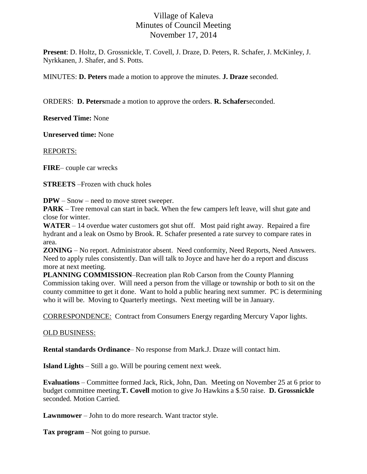## Village of Kaleva Minutes of Council Meeting November 17, 2014

**Present**: D. Holtz, D. Grossnickle, T. Covell, J. Draze, D. Peters, R. Schafer, J. McKinley, J. Nyrkkanen, J. Shafer, and S. Potts.

MINUTES: **D. Peters** made a motion to approve the minutes. **J. Draze** seconded.

ORDERS: **D. Peters**made a motion to approve the orders. **R. Schafer**seconded.

**Reserved Time:** None

**Unreserved time:** None

REPORTS:

**FIRE**– couple car wrecks

**STREETS** –Frozen with chuck holes

**DPW** – Snow – need to move street sweeper.

**PARK** – Tree removal can start in back. When the few campers left leave, will shut gate and close for winter.

**WATER** – 14 overdue water customers got shut off. Most paid right away. Repaired a fire hydrant and a leak on Osmo by Brook. R. Schafer presented a rate survey to compare rates in area.

**ZONING** – No report. Administrator absent. Need conformity, Need Reports, Need Answers. Need to apply rules consistently. Dan will talk to Joyce and have her do a report and discuss more at next meeting.

**PLANNING COMMISSION**–Recreation plan Rob Carson from the County Planning Commission taking over. Will need a person from the village or township or both to sit on the county committee to get it done. Want to hold a public hearing next summer. PC is determining who it will be. Moving to Quarterly meetings. Next meeting will be in January.

CORRESPONDENCE: Contract from Consumers Energy regarding Mercury Vapor lights.

## OLD BUSINESS:

**Rental standards Ordinance**– No response from Mark.J. Draze will contact him.

**Island Lights** – Still a go. Will be pouring cement next week.

**Evaluations** – Committee formed Jack, Rick, John, Dan. Meeting on November 25 at 6 prior to budget committee meeting.**T. Covell** motion to give Jo Hawkins a \$.50 raise. **D. Grossnickle** seconded. Motion Carried.

**Lawnmower** – John to do more research. Want tractor style.

**Tax program** – Not going to pursue.